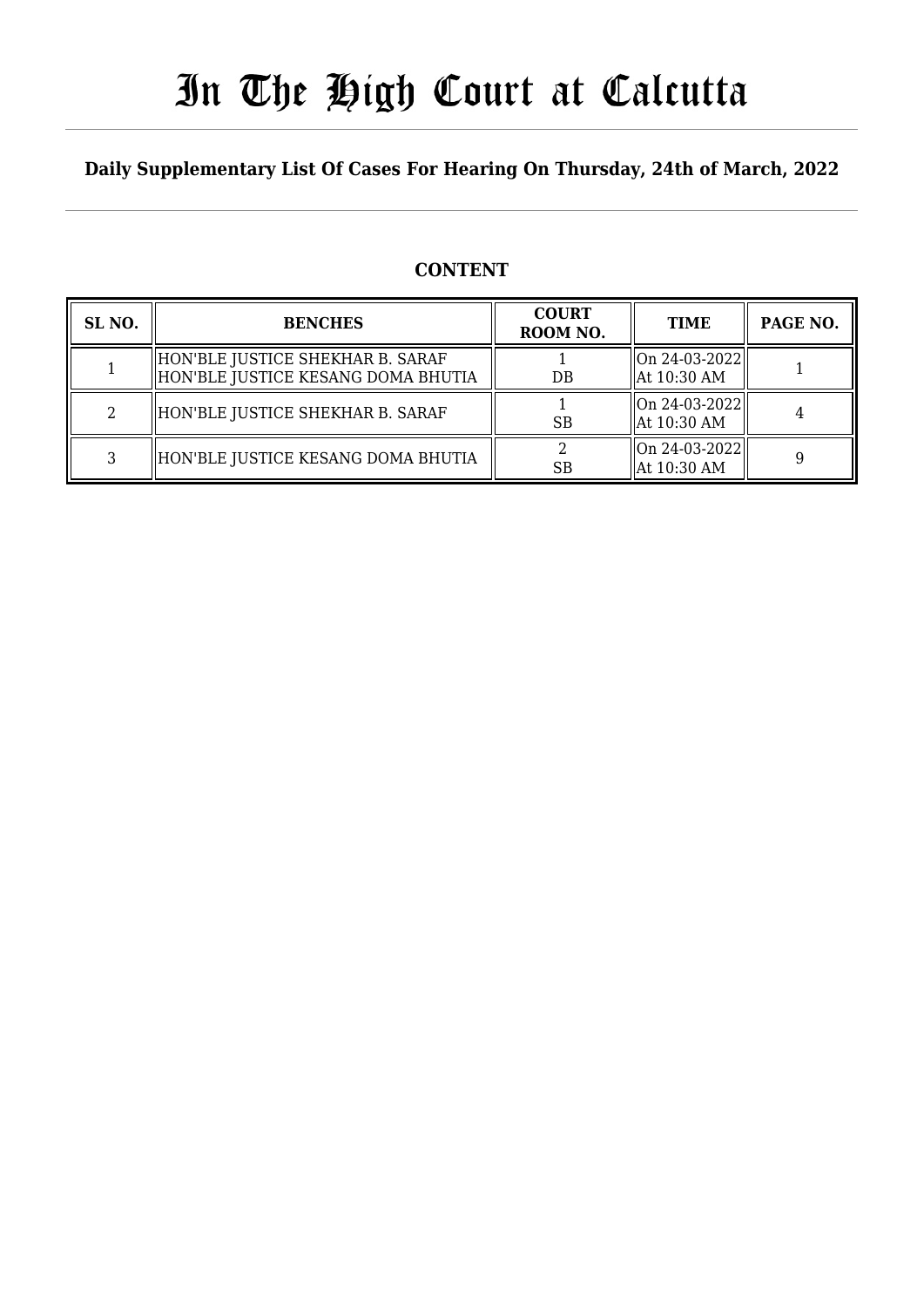# In The High Court at Calcutta

## **Daily Supplementary List Of Cases For Hearing On Thursday, 24th of March, 2022**

## **CONTENT**

| SL <sub>NO</sub> . | <b>BENCHES</b>                                                           | <b>COURT</b><br>ROOM NO. | <b>TIME</b>                      | PAGE NO. |
|--------------------|--------------------------------------------------------------------------|--------------------------|----------------------------------|----------|
|                    | HON'BLE JUSTICE SHEKHAR B. SARAF<br>  HON'BLE JUSTICE KESANG DOMA BHUTIA | $DB$                     | $ On 24-03-2022 $<br>At 10:30 AM |          |
|                    | HON'BLE JUSTICE SHEKHAR B. SARAF                                         | <b>SB</b>                | $ On 24-03-2022 $<br>At 10:30 AM |          |
|                    | HON'BLE JUSTICE KESANG DOMA BHUTIA                                       | <b>SB</b>                | $ On 24-03-2022 $<br>At 10:30 AM |          |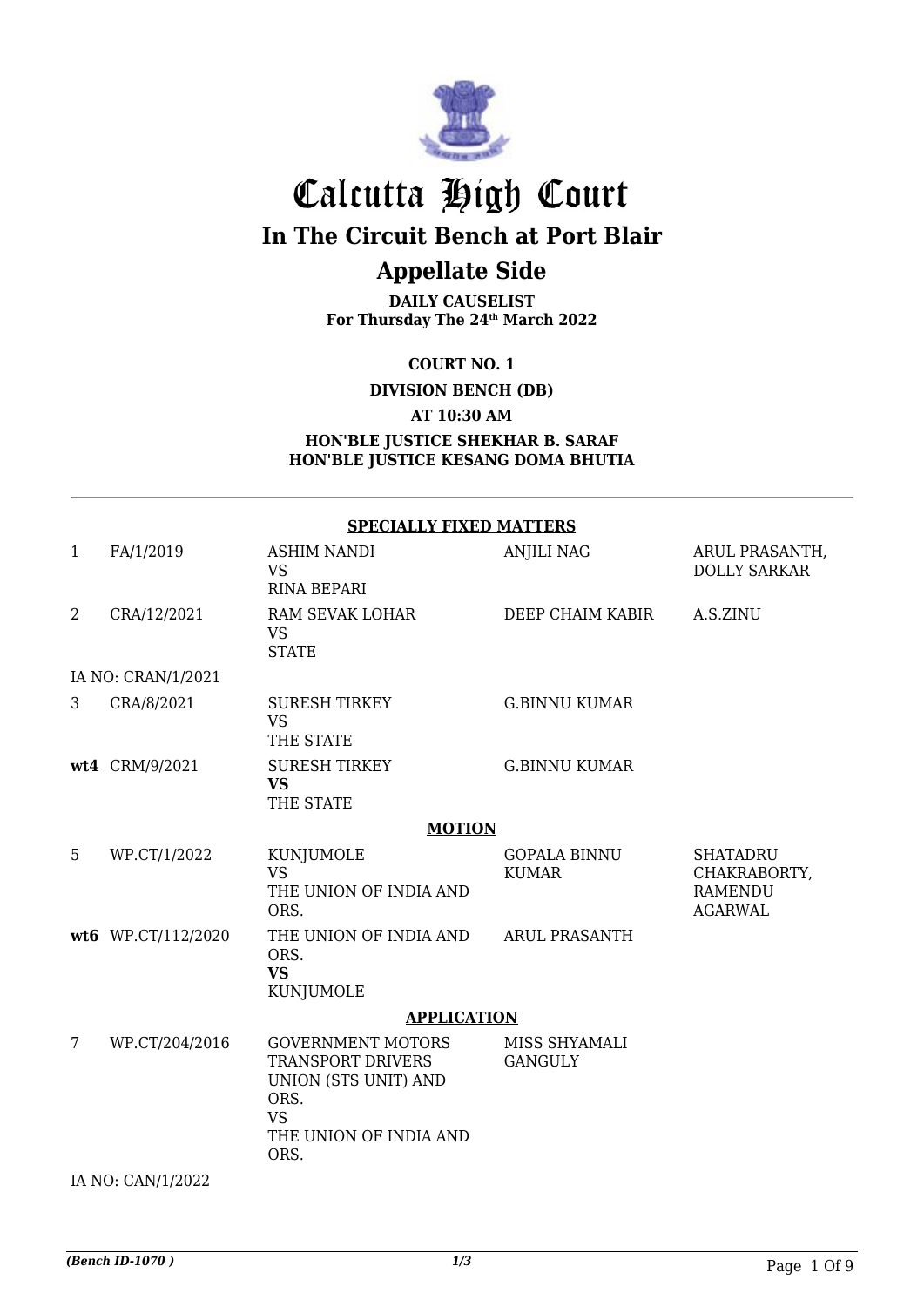

## Calcutta High Court **In The Circuit Bench at Port Blair Appellate Side**

**DAILY CAUSELIST For Thursday The 24th March 2022**

**COURT NO. 1**

**DIVISION BENCH (DB)**

**AT 10:30 AM**

#### **HON'BLE JUSTICE SHEKHAR B. SARAF HON'BLE JUSTICE KESANG DOMA BHUTIA**

|                | <b>SPECIALLY FIXED MATTERS</b> |                                                                                                                                     |                                     |                                                                     |  |  |
|----------------|--------------------------------|-------------------------------------------------------------------------------------------------------------------------------------|-------------------------------------|---------------------------------------------------------------------|--|--|
| 1              | FA/1/2019                      | ASHIM NANDI<br><b>VS</b><br><b>RINA BEPARI</b>                                                                                      | <b>ANJILI NAG</b>                   | ARUL PRASANTH,<br><b>DOLLY SARKAR</b>                               |  |  |
| $\overline{2}$ | CRA/12/2021                    | RAM SEVAK LOHAR<br><b>VS</b><br><b>STATE</b>                                                                                        | DEEP CHAIM KABIR                    | A.S.ZINU                                                            |  |  |
|                | IA NO: CRAN/1/2021             |                                                                                                                                     |                                     |                                                                     |  |  |
| 3              | CRA/8/2021                     | <b>SURESH TIRKEY</b><br><b>VS</b><br>THE STATE                                                                                      | <b>G.BINNU KUMAR</b>                |                                                                     |  |  |
|                | wt4 CRM/9/2021                 | <b>SURESH TIRKEY</b><br><b>VS</b><br>THE STATE                                                                                      | <b>G.BINNU KUMAR</b>                |                                                                     |  |  |
|                |                                | <b>MOTION</b>                                                                                                                       |                                     |                                                                     |  |  |
| 5              | WP.CT/1/2022                   | KUNJUMOLE<br><b>VS</b><br>THE UNION OF INDIA AND<br>ORS.                                                                            | <b>GOPALA BINNU</b><br><b>KUMAR</b> | <b>SHATADRU</b><br>CHAKRABORTY,<br><b>RAMENDU</b><br><b>AGARWAL</b> |  |  |
|                | wt6 WP.CT/112/2020             | THE UNION OF INDIA AND<br>ORS.<br><b>VS</b><br><b>KUNJUMOLE</b>                                                                     | <b>ARUL PRASANTH</b>                |                                                                     |  |  |
|                |                                | <b>APPLICATION</b>                                                                                                                  |                                     |                                                                     |  |  |
| 7              | WP.CT/204/2016                 | <b>GOVERNMENT MOTORS</b><br><b>TRANSPORT DRIVERS</b><br>UNION (STS UNIT) AND<br>ORS.<br><b>VS</b><br>THE UNION OF INDIA AND<br>ORS. | MISS SHYAMALI<br><b>GANGULY</b>     |                                                                     |  |  |

IA NO: CAN/1/2022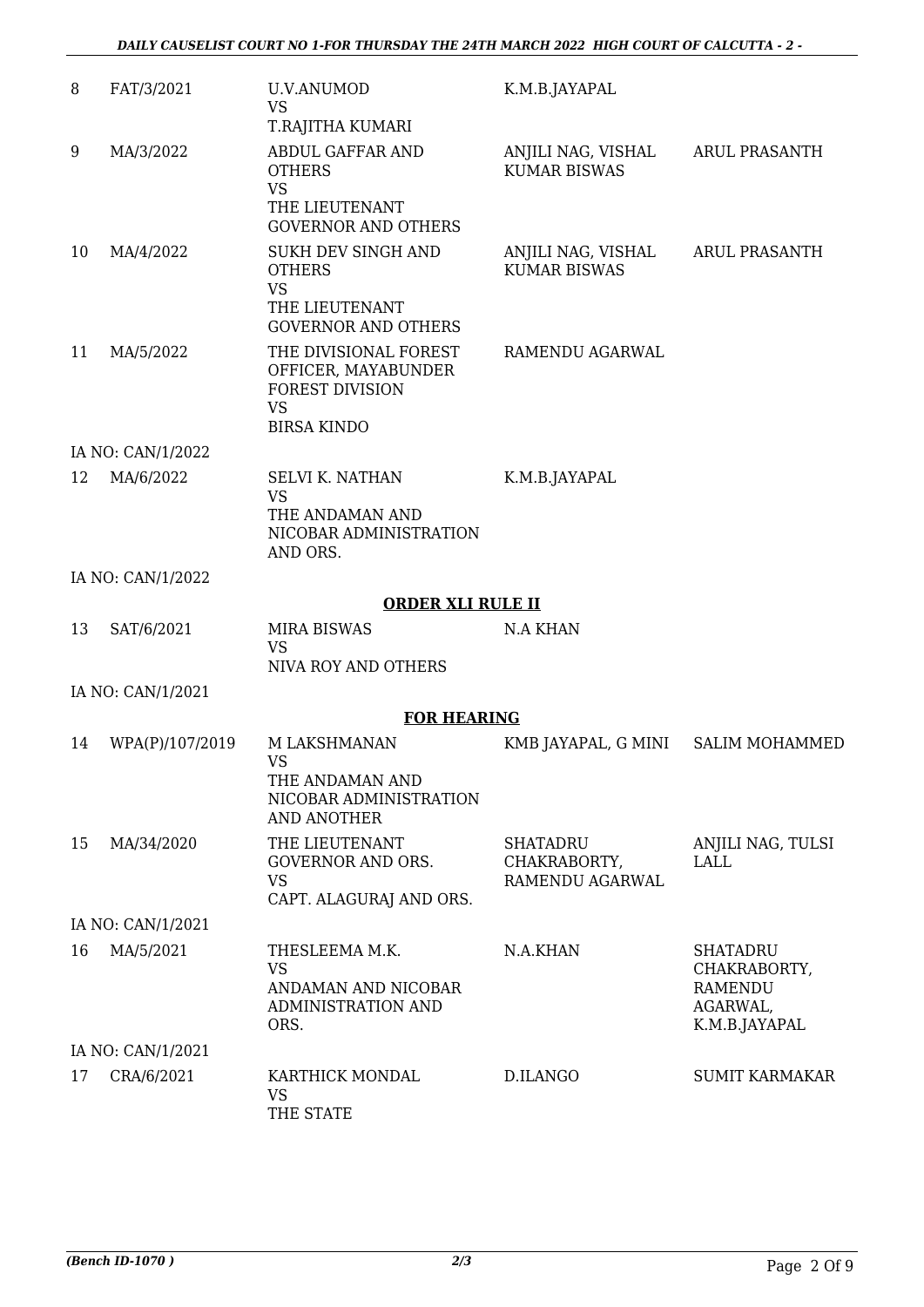| 8  | FAT/3/2021        | <b>U.V.ANUMOD</b><br><b>VS</b><br>T.RAJITHA KUMARI                                                        | K.M.B.JAYAPAL                               |                                                                                |
|----|-------------------|-----------------------------------------------------------------------------------------------------------|---------------------------------------------|--------------------------------------------------------------------------------|
| 9  | MA/3/2022         | ABDUL GAFFAR AND<br><b>OTHERS</b><br><b>VS</b><br>THE LIEUTENANT<br><b>GOVERNOR AND OTHERS</b>            | ANJILI NAG, VISHAL<br><b>KUMAR BISWAS</b>   | <b>ARUL PRASANTH</b>                                                           |
| 10 | MA/4/2022         | SUKH DEV SINGH AND<br><b>OTHERS</b><br><b>VS</b><br>THE LIEUTENANT<br><b>GOVERNOR AND OTHERS</b>          | ANJILI NAG, VISHAL<br><b>KUMAR BISWAS</b>   | <b>ARUL PRASANTH</b>                                                           |
| 11 | MA/5/2022         | THE DIVISIONAL FOREST<br>OFFICER, MAYABUNDER<br><b>FOREST DIVISION</b><br><b>VS</b><br><b>BIRSA KINDO</b> | RAMENDU AGARWAL                             |                                                                                |
|    | IA NO: CAN/1/2022 |                                                                                                           |                                             |                                                                                |
| 12 | MA/6/2022         | <b>SELVI K. NATHAN</b><br><b>VS</b><br>THE ANDAMAN AND<br>NICOBAR ADMINISTRATION<br>AND ORS.              | K.M.B.JAYAPAL                               |                                                                                |
|    | IA NO: CAN/1/2022 |                                                                                                           |                                             |                                                                                |
|    |                   | <b>ORDER XLI RULE II</b>                                                                                  |                                             |                                                                                |
| 13 | SAT/6/2021        | <b>MIRA BISWAS</b><br><b>VS</b>                                                                           | <b>N.A KHAN</b>                             |                                                                                |
|    |                   | NIVA ROY AND OTHERS                                                                                       |                                             |                                                                                |
|    | IA NO: CAN/1/2021 |                                                                                                           |                                             |                                                                                |
| 14 | WPA(P)/107/2019   | <b>FOR HEARING</b><br>M LAKSHMANAN                                                                        | KMB JAYAPAL, G MINI                         | <b>SALIM MOHAMMED</b>                                                          |
|    |                   | <b>VS</b><br>THE ANDAMAN AND<br>NICOBAR ADMINISTRATION<br><b>AND ANOTHER</b>                              |                                             |                                                                                |
| 15 | MA/34/2020        | THE LIEUTENANT<br><b>GOVERNOR AND ORS.</b><br><b>VS</b><br>CAPT. ALAGURAJ AND ORS.                        | SHATADRU<br>CHAKRABORTY,<br>RAMENDU AGARWAL | ANJILI NAG, TULSI<br>LALL                                                      |
|    | IA NO: CAN/1/2021 |                                                                                                           |                                             |                                                                                |
| 16 | MA/5/2021         | THESLEEMA M.K.<br><b>VS</b><br>ANDAMAN AND NICOBAR<br>ADMINISTRATION AND<br>ORS.                          | N.A.KHAN                                    | <b>SHATADRU</b><br>CHAKRABORTY,<br><b>RAMENDU</b><br>AGARWAL,<br>K.M.B.JAYAPAL |
|    | IA NO: CAN/1/2021 |                                                                                                           |                                             |                                                                                |
| 17 | CRA/6/2021        | KARTHICK MONDAL<br><b>VS</b><br>THE STATE                                                                 | D.ILANGO                                    | <b>SUMIT KARMAKAR</b>                                                          |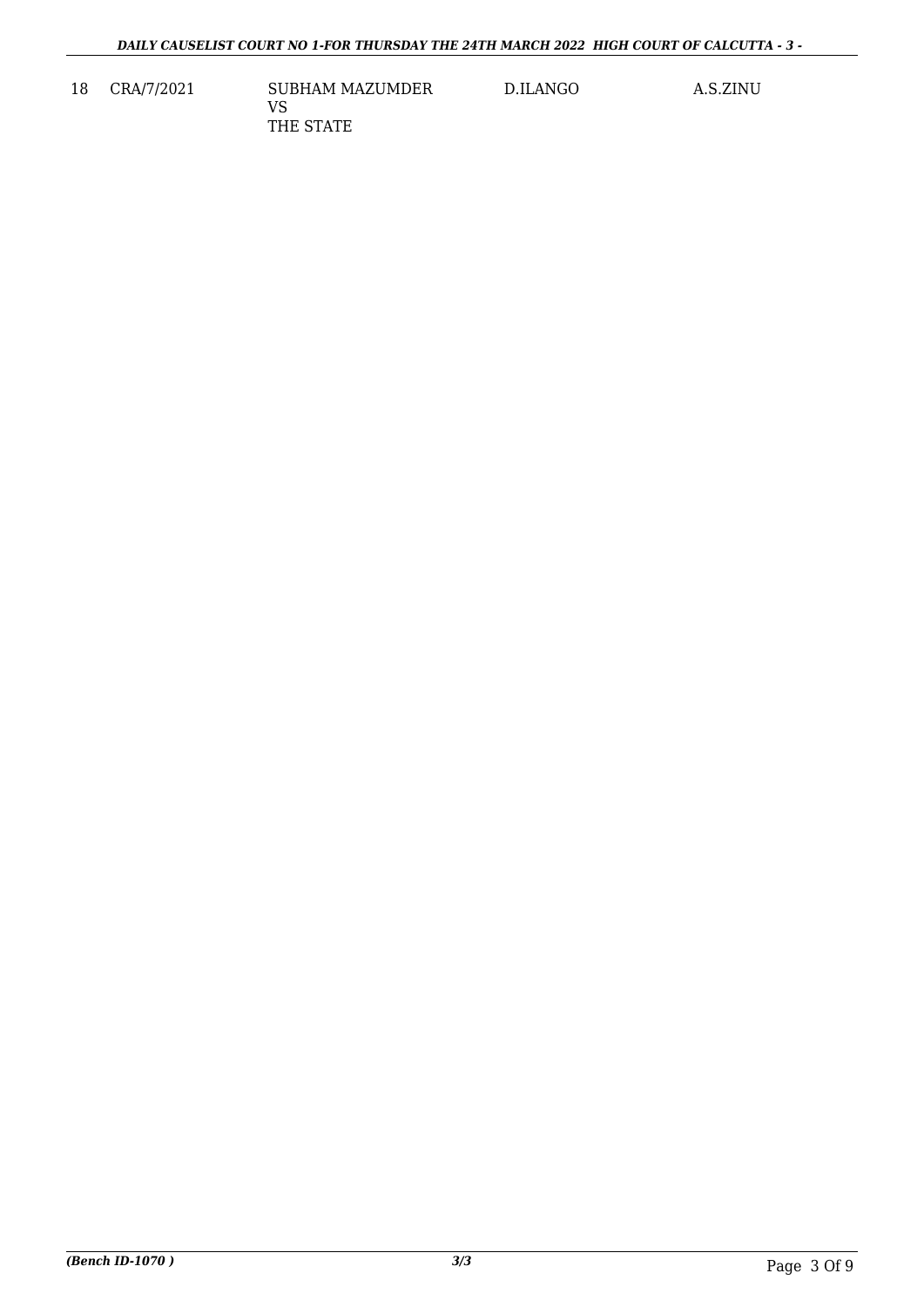18 CRA/7/2021 SUBHAM MAZUMDER VS THE STATE

D.ILANGO A.S.ZINU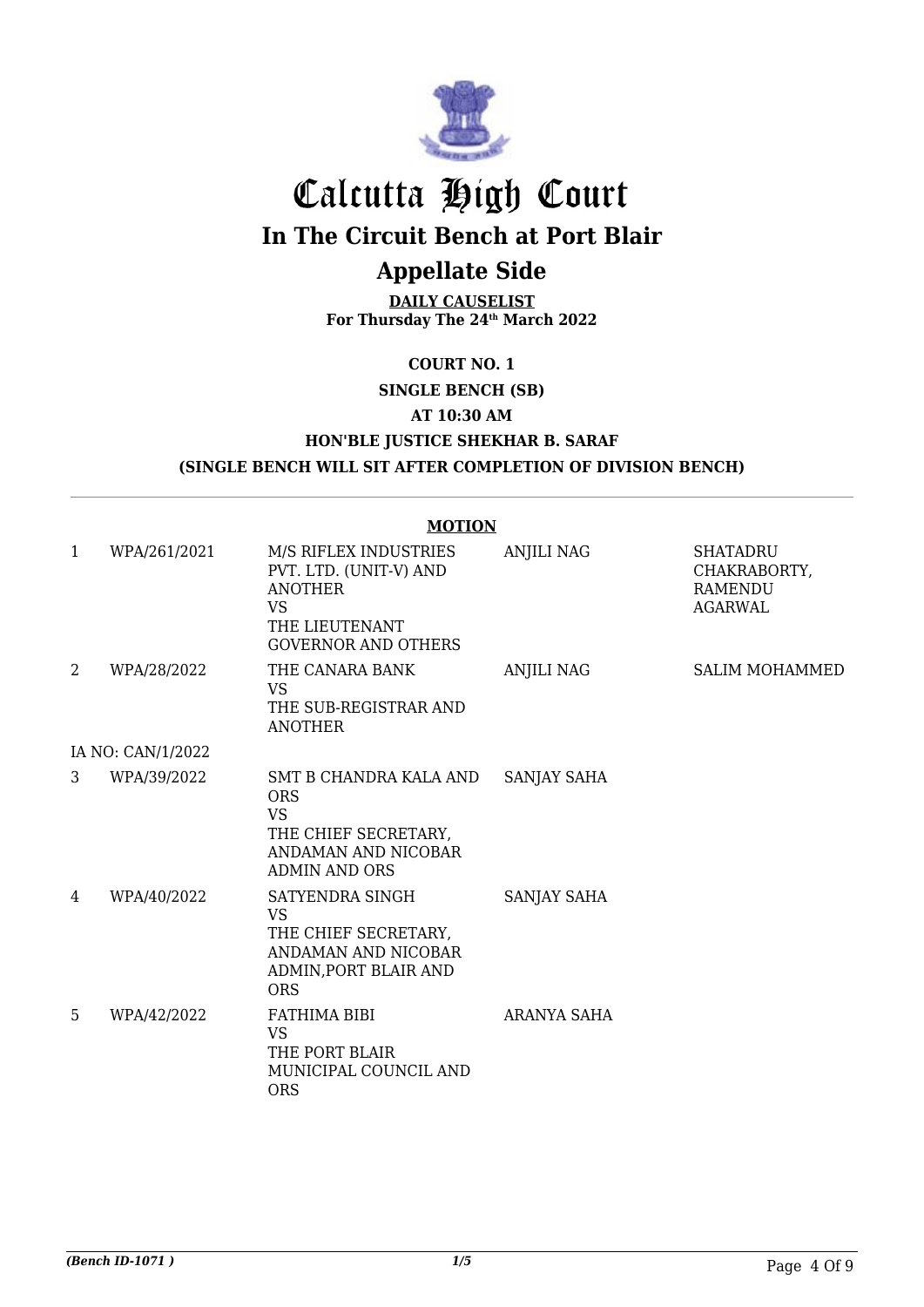

# Calcutta High Court **In The Circuit Bench at Port Blair**

## **Appellate Side**

**DAILY CAUSELIST For Thursday The 24th March 2022**

**COURT NO. 1**

**SINGLE BENCH (SB)**

**AT 10:30 AM**

### **HON'BLE JUSTICE SHEKHAR B. SARAF (SINGLE BENCH WILL SIT AFTER COMPLETION OF DIVISION BENCH)**

#### **MOTION**

| $\mathbf{1}$ | WPA/261/2021      | M/S RIFLEX INDUSTRIES<br>PVT. LTD. (UNIT-V) AND<br><b>ANOTHER</b><br><b>VS</b><br>THE LIEUTENANT<br><b>GOVERNOR AND OTHERS</b> | <b>ANJILI NAG</b>  | <b>SHATADRU</b><br>CHAKRABORTY,<br><b>RAMENDU</b><br><b>AGARWAL</b> |
|--------------|-------------------|--------------------------------------------------------------------------------------------------------------------------------|--------------------|---------------------------------------------------------------------|
| 2            | WPA/28/2022       | THE CANARA BANK<br><b>VS</b><br>THE SUB-REGISTRAR AND<br><b>ANOTHER</b>                                                        | <b>ANJILI NAG</b>  | <b>SALIM MOHAMMED</b>                                               |
|              | IA NO: CAN/1/2022 |                                                                                                                                |                    |                                                                     |
| 3            | WPA/39/2022       | SMT B CHANDRA KALA AND<br><b>ORS</b><br><b>VS</b><br>THE CHIEF SECRETARY,<br>ANDAMAN AND NICOBAR<br><b>ADMIN AND ORS</b>       | <b>SANJAY SAHA</b> |                                                                     |
| 4            | WPA/40/2022       | SATYENDRA SINGH<br><b>VS</b><br>THE CHIEF SECRETARY,<br>ANDAMAN AND NICOBAR<br>ADMIN, PORT BLAIR AND<br><b>ORS</b>             | SANJAY SAHA        |                                                                     |
| 5            | WPA/42/2022       | FATHIMA BIBI<br><b>VS</b><br>THE PORT BLAIR<br>MUNICIPAL COUNCIL AND<br><b>ORS</b>                                             | ARANYA SAHA        |                                                                     |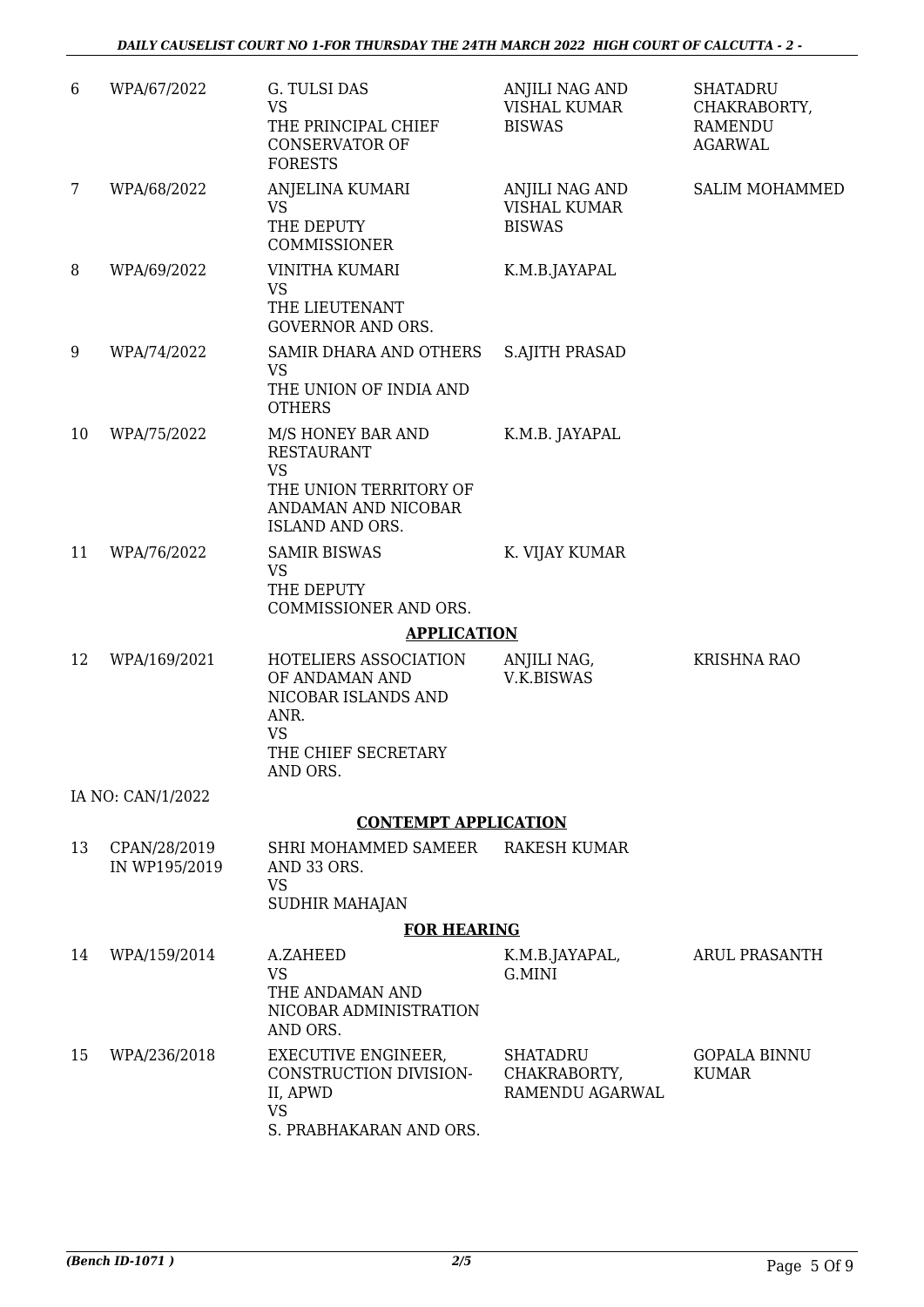| 6  | WPA/67/2022                   | G. TULSI DAS<br><b>VS</b><br>THE PRINCIPAL CHIEF<br><b>CONSERVATOR OF</b><br><b>FORESTS</b>                                    | ANJILI NAG AND<br><b>VISHAL KUMAR</b><br><b>BISWAS</b> | <b>SHATADRU</b><br>CHAKRABORTY,<br><b>RAMENDU</b><br><b>AGARWAL</b> |
|----|-------------------------------|--------------------------------------------------------------------------------------------------------------------------------|--------------------------------------------------------|---------------------------------------------------------------------|
| 7  | WPA/68/2022                   | ANJELINA KUMARI<br><b>VS</b><br>THE DEPUTY<br>COMMISSIONER                                                                     | ANJILI NAG AND<br><b>VISHAL KUMAR</b><br><b>BISWAS</b> | <b>SALIM MOHAMMED</b>                                               |
| 8  | WPA/69/2022                   | VINITHA KUMARI<br><b>VS</b><br>THE LIEUTENANT<br><b>GOVERNOR AND ORS.</b>                                                      | K.M.B.JAYAPAL                                          |                                                                     |
| 9  | WPA/74/2022                   | SAMIR DHARA AND OTHERS<br><b>VS</b><br>THE UNION OF INDIA AND<br><b>OTHERS</b>                                                 | <b>S.AJITH PRASAD</b>                                  |                                                                     |
| 10 | WPA/75/2022                   | M/S HONEY BAR AND<br><b>RESTAURANT</b><br><b>VS</b><br>THE UNION TERRITORY OF<br>ANDAMAN AND NICOBAR<br><b>ISLAND AND ORS.</b> | K.M.B. JAYAPAL                                         |                                                                     |
| 11 | WPA/76/2022                   | <b>SAMIR BISWAS</b><br><b>VS</b><br>THE DEPUTY<br>COMMISSIONER AND ORS.                                                        | K. VIJAY KUMAR                                         |                                                                     |
|    |                               | <b>APPLICATION</b>                                                                                                             |                                                        |                                                                     |
| 12 | WPA/169/2021                  | HOTELIERS ASSOCIATION<br>OF ANDAMAN AND<br>NICOBAR ISLANDS AND<br>ANR.<br><b>VS</b><br>THE CHIEF SECRETARY<br>AND ORS.         | ANJILI NAG,<br>V.K.BISWAS                              | KRISHNA RAO                                                         |
|    | IA NO: CAN/1/2022             |                                                                                                                                |                                                        |                                                                     |
|    |                               | <b>CONTEMPT APPLICATION</b>                                                                                                    |                                                        |                                                                     |
| 13 | CPAN/28/2019<br>IN WP195/2019 | SHRI MOHAMMED SAMEER<br>AND 33 ORS.<br><b>VS</b><br>SUDHIR MAHAJAN                                                             | <b>RAKESH KUMAR</b>                                    |                                                                     |
|    |                               | <b>FOR HEARING</b>                                                                                                             |                                                        |                                                                     |
| 14 | WPA/159/2014                  | A.ZAHEED<br><b>VS</b><br>THE ANDAMAN AND<br>NICOBAR ADMINISTRATION<br>AND ORS.                                                 | K.M.B.JAYAPAL,<br>G.MINI                               | <b>ARUL PRASANTH</b>                                                |
| 15 | WPA/236/2018                  | <b>EXECUTIVE ENGINEER,</b><br>CONSTRUCTION DIVISION-<br>II, APWD<br><b>VS</b><br>S. PRABHAKARAN AND ORS.                       | <b>SHATADRU</b><br>CHAKRABORTY,<br>RAMENDU AGARWAL     | <b>GOPALA BINNU</b><br>KUMAR                                        |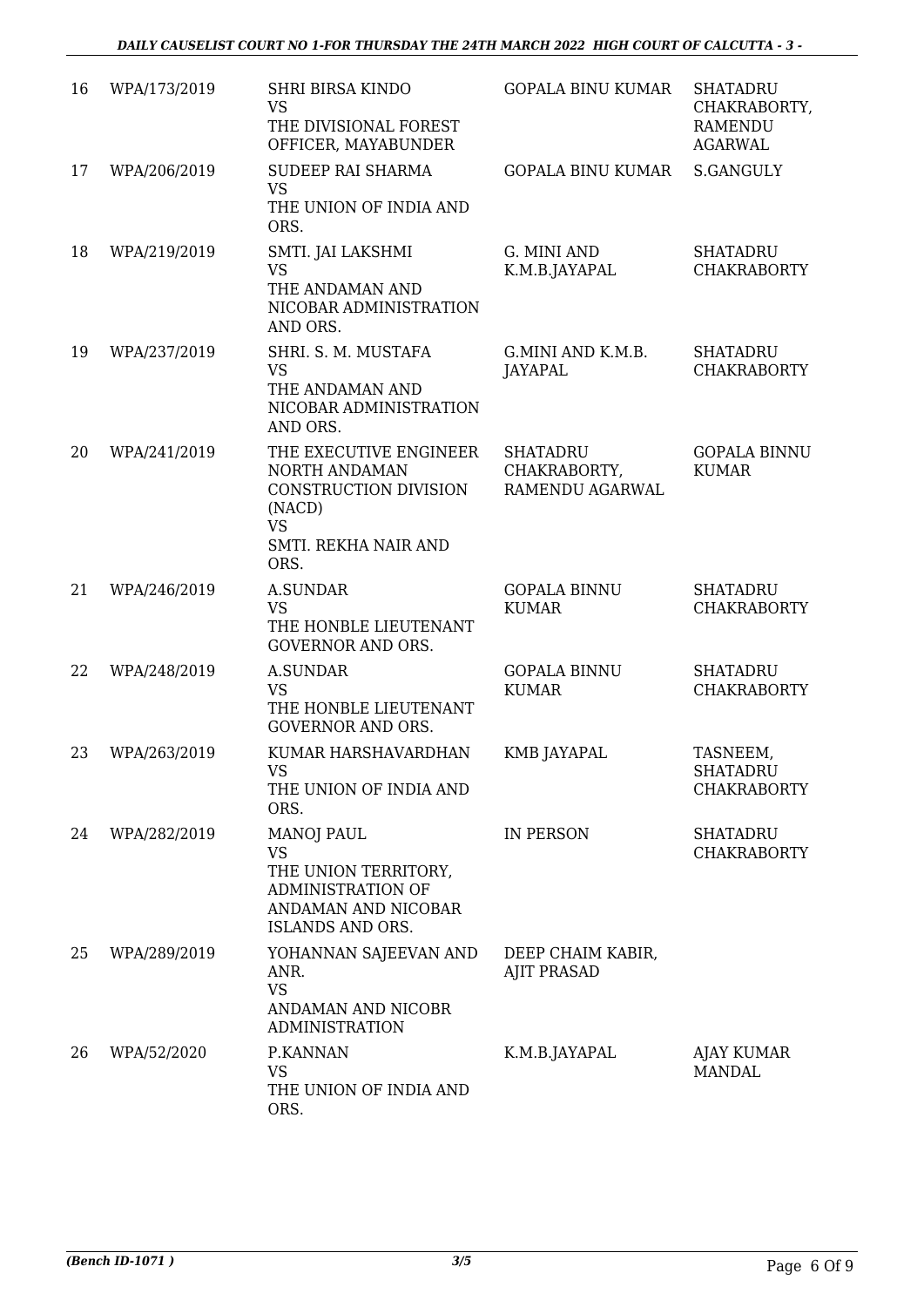| 16 | WPA/173/2019 | <b>SHRI BIRSA KINDO</b><br><b>VS</b><br>THE DIVISIONAL FOREST<br>OFFICER, MAYABUNDER                                    | <b>GOPALA BINU KUMAR</b>                           | <b>SHATADRU</b><br>CHAKRABORTY,<br><b>RAMENDU</b><br><b>AGARWAL</b> |
|----|--------------|-------------------------------------------------------------------------------------------------------------------------|----------------------------------------------------|---------------------------------------------------------------------|
| 17 | WPA/206/2019 | SUDEEP RAI SHARMA<br><b>VS</b><br>THE UNION OF INDIA AND<br>ORS.                                                        | <b>GOPALA BINU KUMAR</b>                           | <b>S.GANGULY</b>                                                    |
| 18 | WPA/219/2019 | SMTI. JAI LAKSHMI<br><b>VS</b><br>THE ANDAMAN AND<br>NICOBAR ADMINISTRATION<br>AND ORS.                                 | G. MINI AND<br>K.M.B.JAYAPAL                       | <b>SHATADRU</b><br><b>CHAKRABORTY</b>                               |
| 19 | WPA/237/2019 | SHRI. S. M. MUSTAFA<br><b>VS</b><br>THE ANDAMAN AND<br>NICOBAR ADMINISTRATION<br>AND ORS.                               | G.MINI AND K.M.B.<br><b>JAYAPAL</b>                | <b>SHATADRU</b><br><b>CHAKRABORTY</b>                               |
| 20 | WPA/241/2019 | THE EXECUTIVE ENGINEER<br>NORTH ANDAMAN<br>CONSTRUCTION DIVISION<br>(NACD)<br><b>VS</b><br>SMTI. REKHA NAIR AND<br>ORS. | <b>SHATADRU</b><br>CHAKRABORTY,<br>RAMENDU AGARWAL | <b>GOPALA BINNU</b><br><b>KUMAR</b>                                 |
| 21 | WPA/246/2019 | <b>A.SUNDAR</b><br><b>VS</b><br>THE HONBLE LIEUTENANT<br><b>GOVERNOR AND ORS.</b>                                       | <b>GOPALA BINNU</b><br><b>KUMAR</b>                | <b>SHATADRU</b><br><b>CHAKRABORTY</b>                               |
| 22 | WPA/248/2019 | <b>A.SUNDAR</b><br><b>VS</b><br>THE HONBLE LIEUTENANT<br><b>GOVERNOR AND ORS.</b>                                       | <b>GOPALA BINNU</b><br><b>KUMAR</b>                | <b>SHATADRU</b><br><b>CHAKRABORTY</b>                               |
| 23 | WPA/263/2019 | KUMAR HARSHAVARDHAN<br>VS<br>THE UNION OF INDIA AND<br>ORS.                                                             | KMB JAYAPAL                                        | TASNEEM,<br><b>SHATADRU</b><br><b>CHAKRABORTY</b>                   |
| 24 | WPA/282/2019 | MANOJ PAUL<br><b>VS</b><br>THE UNION TERRITORY,<br>ADMINISTRATION OF<br>ANDAMAN AND NICOBAR<br>ISLANDS AND ORS.         | <b>IN PERSON</b>                                   | SHATADRU<br><b>CHAKRABORTY</b>                                      |
| 25 | WPA/289/2019 | YOHANNAN SAJEEVAN AND<br>ANR.<br><b>VS</b><br>ANDAMAN AND NICOBR<br><b>ADMINISTRATION</b>                               | DEEP CHAIM KABIR,<br><b>AJIT PRASAD</b>            |                                                                     |
| 26 | WPA/52/2020  | P.KANNAN<br><b>VS</b><br>THE UNION OF INDIA AND<br>ORS.                                                                 | K.M.B.JAYAPAL                                      | AJAY KUMAR<br><b>MANDAL</b>                                         |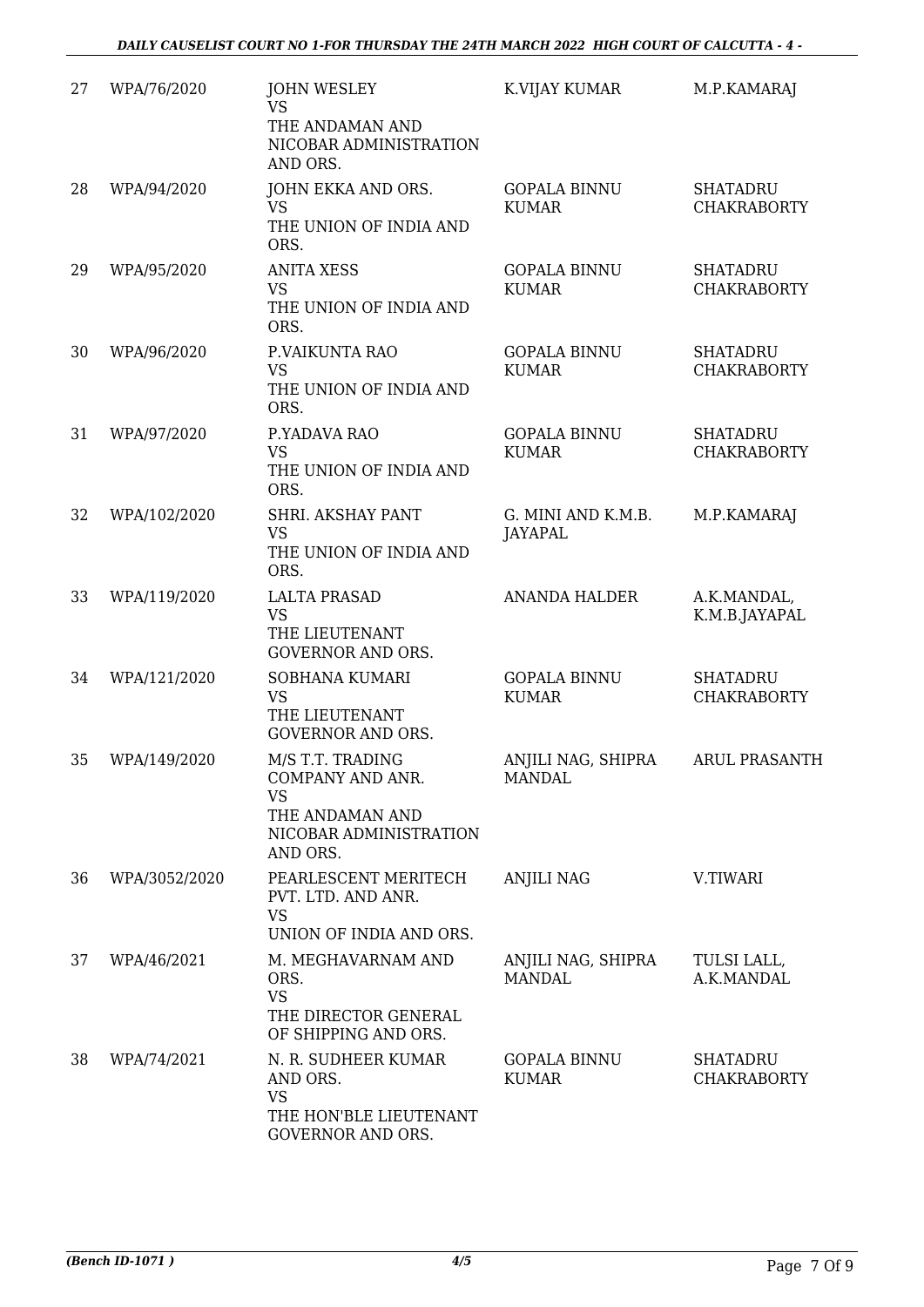| 27 | WPA/76/2020   | <b>JOHN WESLEY</b><br><b>VS</b><br>THE ANDAMAN AND<br>NICOBAR ADMINISTRATION<br>AND ORS.                   | K.VIJAY KUMAR                       | M.P.KAMARAJ                           |
|----|---------------|------------------------------------------------------------------------------------------------------------|-------------------------------------|---------------------------------------|
| 28 | WPA/94/2020   | JOHN EKKA AND ORS.<br><b>VS</b><br>THE UNION OF INDIA AND<br>ORS.                                          | <b>GOPALA BINNU</b><br><b>KUMAR</b> | <b>SHATADRU</b><br><b>CHAKRABORTY</b> |
| 29 | WPA/95/2020   | <b>ANITA XESS</b><br><b>VS</b><br>THE UNION OF INDIA AND<br>ORS.                                           | <b>GOPALA BINNU</b><br><b>KUMAR</b> | <b>SHATADRU</b><br><b>CHAKRABORTY</b> |
| 30 | WPA/96/2020   | P.VAIKUNTA RAO<br><b>VS</b><br>THE UNION OF INDIA AND<br>ORS.                                              | <b>GOPALA BINNU</b><br><b>KUMAR</b> | <b>SHATADRU</b><br><b>CHAKRABORTY</b> |
| 31 | WPA/97/2020   | P.YADAVA RAO<br><b>VS</b><br>THE UNION OF INDIA AND<br>ORS.                                                | <b>GOPALA BINNU</b><br><b>KUMAR</b> | <b>SHATADRU</b><br><b>CHAKRABORTY</b> |
| 32 | WPA/102/2020  | SHRI. AKSHAY PANT<br><b>VS</b><br>THE UNION OF INDIA AND<br>ORS.                                           | G. MINI AND K.M.B.<br>JAYAPAL       | M.P.KAMARAJ                           |
| 33 | WPA/119/2020  | <b>LALTA PRASAD</b><br><b>VS</b><br>THE LIEUTENANT<br><b>GOVERNOR AND ORS.</b>                             | <b>ANANDA HALDER</b>                | A.K.MANDAL,<br>K.M.B.JAYAPAL          |
| 34 | WPA/121/2020  | SOBHANA KUMARI<br><b>VS</b><br>THE LIEUTENANT<br><b>GOVERNOR AND ORS.</b>                                  | <b>GOPALA BINNU</b><br><b>KUMAR</b> | <b>SHATADRU</b><br><b>CHAKRABORTY</b> |
| 35 | WPA/149/2020  | M/S T.T. TRADING<br>COMPANY AND ANR.<br><b>VS</b><br>THE ANDAMAN AND<br>NICOBAR ADMINISTRATION<br>AND ORS. | ANJILI NAG, SHIPRA<br><b>MANDAL</b> | <b>ARUL PRASANTH</b>                  |
| 36 | WPA/3052/2020 | PEARLESCENT MERITECH<br>PVT. LTD. AND ANR.<br><b>VS</b><br>UNION OF INDIA AND ORS.                         | <b>ANJILI NAG</b>                   | V.TIWARI                              |
| 37 | WPA/46/2021   | M. MEGHAVARNAM AND<br>ORS.<br><b>VS</b><br>THE DIRECTOR GENERAL<br>OF SHIPPING AND ORS.                    | ANJILI NAG, SHIPRA<br><b>MANDAL</b> | TULSI LALL,<br>A.K.MANDAL             |
| 38 | WPA/74/2021   | N. R. SUDHEER KUMAR<br>AND ORS.<br><b>VS</b><br>THE HON'BLE LIEUTENANT<br><b>GOVERNOR AND ORS.</b>         | <b>GOPALA BINNU</b><br><b>KUMAR</b> | <b>SHATADRU</b><br><b>CHAKRABORTY</b> |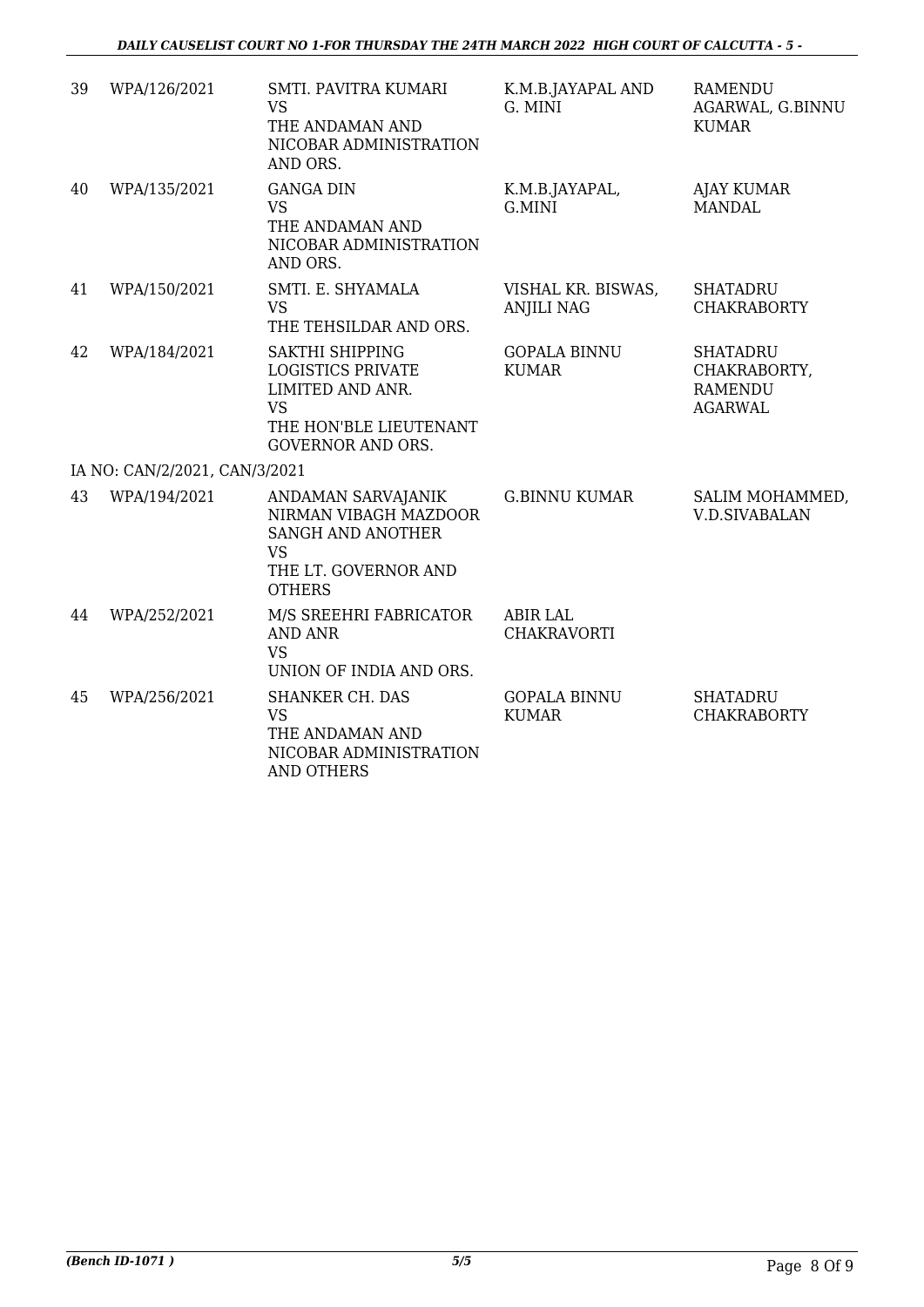| 39 | WPA/126/2021                  | SMTI. PAVITRA KUMARI<br><b>VS</b><br>THE ANDAMAN AND<br>NICOBAR ADMINISTRATION<br>AND ORS.                                         | K.M.B.JAYAPAL AND<br>G. MINI            | <b>RAMENDU</b><br>AGARWAL, G.BINNU<br>KUMAR                         |
|----|-------------------------------|------------------------------------------------------------------------------------------------------------------------------------|-----------------------------------------|---------------------------------------------------------------------|
| 40 | WPA/135/2021                  | <b>GANGA DIN</b><br><b>VS</b><br>THE ANDAMAN AND<br>NICOBAR ADMINISTRATION<br>AND ORS.                                             | K.M.B.JAYAPAL,<br>G.MINI                | <b>AJAY KUMAR</b><br><b>MANDAL</b>                                  |
| 41 | WPA/150/2021                  | SMTI. E. SHYAMALA<br><b>VS</b><br>THE TEHSILDAR AND ORS.                                                                           | VISHAL KR. BISWAS,<br><b>ANJILI NAG</b> | <b>SHATADRU</b><br><b>CHAKRABORTY</b>                               |
| 42 | WPA/184/2021                  | SAKTHI SHIPPING<br><b>LOGISTICS PRIVATE</b><br>LIMITED AND ANR.<br><b>VS</b><br>THE HON'BLE LIEUTENANT<br><b>GOVERNOR AND ORS.</b> | <b>GOPALA BINNU</b><br><b>KUMAR</b>     | <b>SHATADRU</b><br>CHAKRABORTY,<br><b>RAMENDU</b><br><b>AGARWAL</b> |
|    | IA NO: CAN/2/2021, CAN/3/2021 |                                                                                                                                    |                                         |                                                                     |
| 43 | WPA/194/2021                  | ANDAMAN SARVAJANIK<br>NIRMAN VIBAGH MAZDOOR<br>SANGH AND ANOTHER<br><b>VS</b><br>THE LT. GOVERNOR AND<br><b>OTHERS</b>             | <b>G.BINNU KUMAR</b>                    | SALIM MOHAMMED,<br><b>V.D.SIVABALAN</b>                             |
| 44 | WPA/252/2021                  | M/S SREEHRI FABRICATOR<br><b>AND ANR</b><br><b>VS</b><br>UNION OF INDIA AND ORS.                                                   | <b>ABIR LAL</b><br><b>CHAKRAVORTI</b>   |                                                                     |
| 45 | WPA/256/2021                  | <b>SHANKER CH. DAS</b><br><b>VS</b><br>THE ANDAMAN AND<br>NICOBAR ADMINISTRATION<br><b>AND OTHERS</b>                              | <b>GOPALA BINNU</b><br><b>KUMAR</b>     | <b>SHATADRU</b><br><b>CHAKRABORTY</b>                               |